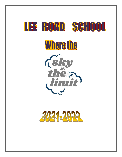

**Where the** 



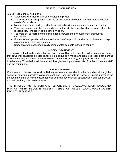### BELIEFS, VISION, MISSION

At Lee Road School, we believe:

- Students are individuals with different learning styles.
- The curriculum is designed to meet the unique social, emotional, physical and intellectual needs of all students.
- Maintaining a safe, healthy, and well-supervised environment promotes student learning.
- Teachers, parents and the community are partners in the educational process and share the responsibility for support of the school mission.
- Teachers act as facilitators to guide students toward the achievement of their fullest capabilities.
- Students develop self-confidence and a sense of responsibility when a positive relationship exists between staff and students.
- Students are to be technologically competent to compete in the 21<sup>st</sup> century.

### MISSION STATEMENT

The mission of the faculty and staff of Lee Road Junior High is to educate children in an environment that strives for academic excellence, fosters a positive self-image, and promotes respect for learning while addressing the needs of the whole child emotionally, socially, and physically, to promote life long learning. This mission will be attained through the cooperative efforts of students, parents, staff and the community.

## VISION STATEMENT

Our vision is to develop responsible, lifelong learners who are able to achieve and excel in a global society of continuing academic advancement. Lee Road Junior High School will invest in state of the art equipment and services, ensure teacher and staff development opportunities, and continuously maintain and upgrade these services.

THE PRINCIPAL HAS THE RIGHT AND RESPONSIBILITY TO ADD, AMEND, OR REMOVE ANY PART OF THIS HANDBOOK IN THE BEST INTEREST OF THE LEE ROAD SCHOOL STUDENTS, FACULTY AND STAFF.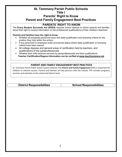# **St. Tammany Parish Public Schools Title I Parents' Right to Know Parent and Family Engagement Best Practices**

# **PARENTS' RIGHT TO KNOW**

The **Every Student Succeeds Act (ESSA)** requires school districts to inform parents and families about their right to receive information on the professional qualifications of their children's teachers.

#### **Parents and families have the right to know**:

- Whether all employed personnel have met state qualification and licensing criteria for the position they hold within the school
- If any personnel is employed under provisional status where state qualification or licensing criteria have been waived
- All college degrees and general areas of certification held by teachers, and qualifications of the paraprofessionals
- Whether their child receives services by paraprofessionals and their qualifications **Teacher Certification/Degree Information can be verified at [www.teachlouisiana.net](http://www.teachlouisiana.net/)**

### **PARENT AND FAMILY ENGAGEMENT BEST PRACTICES**

St. Tammany Parish Public School System believes that **Parent and Family Engagement** (PFE) is important for children to achieve success. Parents and families are key partners with the schools. PFE includes programs, services, and activities at the school and district level.

**District Responsibilities School Responsibilities**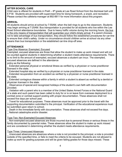### **AFTER SCHOOL CARE**

Child care is offered for students in PreK –  $8<sup>th</sup>$  grade at Lee Road School from the dismissal bell until 6 P.M. Students are provided with supervised time for doing homework, a snack, and recreation. Please contact the cafeteria manager at 892-8811 for more information about this program.

## **ARRIVAL**

All students should arrive at school by 7:55AM, when the bell rings to go to the classroom. Students may begin arriving at 7:25AM. Bus transportation is provided for all students who live within the Lee Road School attendance boundaries. Due to heavy traffic volume during the morning hours, the bus is the only means of transportation that will guarantee your child's timely arrival. If a parent chooses not to take advantage of bus transportation, they should follow the established procedures for car-line to ensure their child's safety. Under no circumstance should children arrive at school via any other means than bus transportation or the established car-line drop-off area.

## **ATTENDANCE**

### Type One Absence: Exempted, Excused

Exempted, excused absences are those that allow the student to make up work missed and will not be counted against students in determining whether a student meets attendance requirements. There is no limit to the amount of exempted, excused absences a student can incur. The exempted, excused absences are defined in the attendance

policy as the following:

Extended personal physical or emotional illness as verified by a physician or nurse practitioner licensed in the state.

\_ Extended hospital stay as verified by a physician or nurse practitioner licensed in the state.

Extended recuperation from an accident as verified by a physician or nurse practitioner licensed in the state.

\_ Extended contagious disease within a family in which a student is absent as verified by a dentist or physician licensed in the state.

\_ Observance of special and recognized holidays of the student's own faith with documentation provided.

\_ Visitation with a parent who is a member of the United States Armed Forces or the National Guard of a state and such parent has been called to duty for or is on leave from overseas deployment to a combat zone or combat support posting with proper documentation. These absences shall not exceed five days per school year.

\_ Travel for educational purposes. These absences must be approved prior to the travel with the supporting documentation submitted to the principal. Verification of the educational experience must be submitted upon return to school.

Death in the immediate family with documentation. These absences shall not exceed five days.

National catastrophe and/or disaster.

### Type Two: Non-Exempted Excused Absences

Non-exempted excused absences are those incurred due to personal illness or serious illness in the family documented by parental notes. These absences allow the student to make up work missed and are considered in determining whether the student meets attendance requirements.

### Type Three: Unexcused Absences

\_ Unexcused absences are absences where a note is not provided to the principal, a note is provided outside of the specified time, or fails to meet the criteria to be excused. Students are not allowed to make up work for grading purposes and will be given failing grades for those days missed. These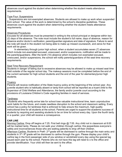absences count against the student when determining whether the student meets attendance requirements.

#### Type Four: Suspensions

\_ Suspensions are non-exempted absences. Students are allowed to make up work when suspended from school. The value of the work is determined by the school's discipline guidelines. These absences count against the student when determining whether the student meets attendance requirements.

#### Absences Procedures

Excuses for all absences must be presented in writing to the school principal or designee within two (2) days of the absence. The note must include the student's full name, days of absence, reason for absence and/or doctor's verification, parent/guardian signature and date of signature. Failure to send the note will result in the student not being able to make up missed coursework, and zeros for that work will be given.

In elementary through junior high school, when a student accumulates seven (7) absences which include non-exempted excused, unexcused, and/or suspensions, notification will be made to the parents/guardians. After the tenth (10) absence which includes non-exempted excused, unexcused, and/or suspensions, the school will notify parents/guardians of the seat time recovery requirements.

#### **Seat Time Recovery Requirement**

Students in danger of failing due to excessive absences may be allowed to make up missed seat time held outside of the regular school day. The makeup sessions must be completed before the end of the current semester for high school students and the end of the year for elementary/junior high students.

#### Truancy

Parents will receive notification of the State truancy policy at the beginning of the school year. Any juvenile student who is habitually absent or tardy from school will be reported as a truant child to the Supervisor of Child Welfare and Attendance, the family and/or juvenile court according to the provisions of Louisiana Children's Code regarding families in need of services.

#### Tardiness

Students who frequently arrive late for school lose valuable instructional time, learn unproductive work habits for the future, and create needless disruption to the school and classroom setting. Every school has a policy for tardiness that is enforced to help ensure the maximum, high-quality instructional time for all students at the school. Parents are urged to support the academic success of students by requiring and assisting students to be on time for school every day. Upon the fourth tardy in a quarter, your child will receive a consequence.

#### **CAR LINE**

Morning Carline: Drop off begins at 7:25. First bell rings @ 7:55. Any child not in classroom at 8:00 will be marked tardy. Please do not walk your children through carline; this jeopardizes everyone's safety and inconveniences those who are waiting patiently to drop off their children.

Afternoon Carline: Students in PreK- 2<sup>nd</sup> grade will be dismissed to carline through the main entry and students in  $3^{rd}$ -  $8^{th}$  grade will be dismissed to carline through the gym. Please display your child's carline tag in the front passenger side of you window or windshield every day using the special tag issued each year by the school. Parents who do not have this tag will need to o to the office and provide identification. Your child will then be sent to the office.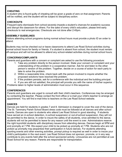### **CHEATING**

A student who is found guilty of cheating will be given a grade of zero on that assignment. Parents will be notified, and the student will be subject to disciplinary action.

# **CHECKOUTS**

Frequent early dismissals from school severely impede a student's chances for academic success and disrupt the classroom for others. For the sake of every child's education, please limit early checkouts to real emergencies. Checkouts are not done after 2:45pm.

### **ASSEMBLY GUIDELINES**

Visitors attending school programs during normal school hours must provide a photo ID an order to attend.

Students may not be checked out or leave classrooms to attend Lee Road School activities during normal school hours for family or friends. If a student is absent from school, the student must remain off-campus and will not be allowed to attend any school-related activities during normal school hours.

## **CONCERNS/COMPLAINTS**

Parents and guardians with a concern or complaint are asked to use the following procedure:

- 1. Take any problem directly to the person involved. State your concern or complaint and your understanding of the problem in a cooperative manner. Ask for and listen to the other person's version of the problem. Together, decide on a course of action for each party to take to solve the problem.
- 2. Within a reasonable time, check back with the person involved to inquire whether the proposed solutions have resolved the problem.
- 3. If the problem persists, ask for a conference with the individual and the building principal.

4. If you are still not satisfied, the principal will provide you with the name of his/her superior. Problems taken to higher levels of administration must occur in this sequence.

### **CONFERENCES**

Parents and guardians are urged to consult with their child's teachers. Conferences may be arranged by contacting the teacher. Please contact the front office or e-mail your child's teacher to arrange an appointment. You will find e-mail links to teachers on the Lee Road School website.

### **DANCES**

Dances are held for students in grades 7 and 8. Admission is charged to cover the cost of the dance. The St. Tammany Parish School Board dress code must be followed at all dances and after school events. Dances are open to students who attend Lee Road School in good standing. If students have served an in-school detention, in-school suspension or out-of-school suspension, they will not be permitted to the dance. In order to insure the safety of all students, once admitted to the dance, students will not be permitted to leave for any reason until the event is over. Administrators reserve the right to prohibit students with disciplinary issues from attending dances. Dances begin at 5PM and end promptly at 7 PM. We expect your child to be picked up promptly at 7 PM. Students who are not picked up promptly may jeopardize their participation in future dances. For students attending sporting events and other evening activities, prompt pickup is required as well in order to insure your child's participation in the next event. Lee Road School does not sponsor, promote, or in any way contribute to any events held after the school sponsored activity. Limousines are not permitted at Lee Road School for any reason. Parents are responsible for transportation.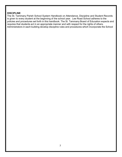#### **DISCIPLINE**

The St. Tammany Parish School System Handbook on Attendance, Discipline and Student Records is given to every student at the beginning of the school year. Lee Road School adheres to the policies and procedures set forth in this handbook. The St. Tammany Board of Education expects and requires that students act in an appropriate manner and with respect for the rights of others. Administrators in each building develop discipline rules and procedures which incorporate the School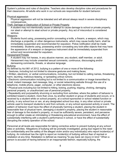System's policies and rules of discipline. Teachers also develop discipline rules and procedures for their classrooms. All adults who work in our schools are responsible for student behavior.

#### Physical aggression

Physical aggression will not be tolerated and will almost always result in severe disciplinary consequences.

#### Theft, Damage or Destruction of School or Private Property

A student may not intentionally cause or attempt to cause damage to school or private property, nor steal or attempt to steal school or private property. Any act of misconduct is considered serious.

#### **Weapons**

Students found using, possessing and/or concealing a knife, a firearm, a weapon, which may discharge a projectile, or other dangerous instruments, which may cause bodily harm, shall be immediately suspended and recommended for expulsion. Police notification shall be made immediately. Students using, possessing and/or concealing any look-alike objects that may have the appearance of a weapon or dangerous instrument shall be immediately suspended from school and recommended for expulsion.

### Harassment/Threats

A student may not harass, in any abusive manner, any student, staff member, or adult. Harassment may include unwanted sexual comments, continuous, discouraging and/or demeaning comments, threats, or abusive language.

## Bullying

As defined by Act 861 of 2012, bullying is a pattern of one or more of the following:

• Gestures, including but not limited to obscene gestures and making faces;

• Written, electronic, or verbal communications, including, but not limited to calling names, threatening harm, taunting, malicious teasing, or spreading untrue rumors;

• Electronic communication including but is not limited to a communication or image transmitted by email, instant message, text message, blog, or social networking website through the use of a telephone, mobile phone, pager, computer, or other electronic device;

• Physical acts including but not limited to hitting, kicking, pushing, tripping, choking, damaging personal property, or unauthorized use of personal property;

• Repeatedly and purposefully shunning or excluding from activities; where the pattern of behavior is exhibited toward a student, more than once, by another student or group of students and occurs, or is received by a student while on school property, at a school-sponsored or school related function or activity, in any school bus or van, at any designated school bus stop, in any other school or private vehicle used to transport students to and from schools, or any school sponsored activity or event. The pattern of behavior must have the effect of physically harming a student, placing the student in reasonable fear of physical harm, damaging a student's property, placing the student in reasonable fear of damage to the student's property, or must be sufficiently severe, persistent, and pervasive enough to either create an intimidating or threatening educational environment, have the effect of substantially interfering with a student's performance in school, or have the effect of substantially disrupting the orderly operation of the school.

Personnel at all levels are responsible for taking corrective action to prevent bullying at any school sites or activities. Allegations of bullying will be promptly investigated, giving due regard to the need for confidentiality and the safety of the alleged victim and/or any individual(s) who report incident(s) of bullying. An individual has the right to report an incident(s) of bullying without fear of reprisal or retaliation at any time. Retaliation is defined as meaning "to pay back (an injury) in kind." When a person is accused of having behaved in an inappropriate fashion, especially bullying, the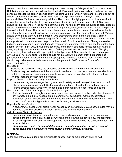common reaction of that person is to be angry and want to pay the "alleged victim" back (retaliate). Retaliation must not occur and will not be tolerated. Proven allegations of bullying can have serious consequences for the person deemed guilty, including verbal or written reprimand, in-school or out-ofschool suspension, disciplinary reassignment, and/or expulsion. Victims of bullying have responsibilities. Victims should clearly tell the bullies to stop. If bullying persists, victims should not ignore the incident(s) but should report immediately the incident to someone at school. Students should tell their parent(s). If the bullying continues after having clearly told the bullies to stop, students should make a written record of the incident including dates, times, witness or witnesses, and parties involved in the incident. The incident should be reported immediately to an adult who has authority over the bullies, for example, a teacher, guidance counselor, assistant principal, or principal. Victims should avoid being alone with the person(s) who attempted to bully them in the past. Victims of bullying who feel uncomfortable reporting this fact to adult personnel at school should contact another appropriate adult or friend who will report on their behalf. To minimize the risk of being accused of bullying, students should keep their hands to themselves, remember that no one has the right to harm another person in any way, think before speaking, immediately apologize for accidentally saying or doing anything that has made another person feel oppressed, and report all incidents of bullying behavior they have witnessed to appropriate school personnel. Students should not touch anyone without his or her permission. Students should not interact with a person after that person has perceived their behavior toward them as "inappropriate" and has clearly told them to "stop". Nor should they make remarks that may cause another person to feel "oppressed" (stressful, scared, intimidated).

#### **Disrespect**

Students are required to obey the directions of their teachers and other school personnel. Students may not be disrespectful or abusive to teachers or school personnel and are absolutely prohibited from using obscene or abusive language or any form of physical violence or threat towards teachers or other school personnel.

#### Physical Abuse of a Student or Any Other Person

A student may not endanger the physical health, safety, or well being of other persons, or do bodily injury to any individual. Such acts include but are not limited to: false fire alarms or bomb threats; assault, battery or fighting; and intimidation by threat of force or blackmail. Use of Narcotics, Stimulant Drugs, or Alcoholic Beverages

A student may not knowingly and unlawfully possess, use, transmit, or be under the influence of any narcotic drug, hallucinogenic drug, amphetamine, barbiturate, marijuana, controlled substance, or intoxicant of any kind: on the school grounds; while being transported to or from school; or off the school grounds at a school function, activity or event.

#### Repeated School Violations

A student who, despite prior discipline for misbehavior, persistently violates school rules may be deemed a chronic disciplinary problem. Severe disciplinary action may result.

#### Cell phones & Electronic devices

Consequences will be given for students who use or display a cell phone or any electronic device during the school day. Students who take photos during the school day, or post photos taken during the school day, will be suspended. Parents must retrieve the confiscated item from an administrator.

*Students who receive in-school detention, in- school suspension, or out- of -school suspension may be prohibited fromattending extracurricular activities.*

#### **DISMISSAL**

At the end of the day, students are dismissed to busses, gym or main hallway entry to wait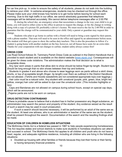for car line pick-up. In order to ensure the safety of all students, please do not walk into the building to retrieve your child. In extreme emergencies, students may be checked out through the office. Please make sure your child knows how he/she is to get home before leaving for school each morning. Due to the high traffic in our office, we cannot absolutely guarantee that telephone messages will be delivered accurately. We cannot deliver telephone messages after or 2:00 PM.

If, during the school day, an emergency arises that necessitates a change in the way your child is to go home, you will need to either come to the office in person to request the change, or fax the change in writing along with a copy of a picture ID, preferably a driver's license. We must receive the fax by 2:00 PM in order to guarantee that the change will be communicated to your child. Only a parent or guardian may request this change.

Students who plan to go home in carline with a friend will need to bring a note signed by their parent, with a phone number. That note will need to be seen in the office and signed by an administrator before noon. The student will then get a pass to show the carline duty teachers. This is also the procedure to follow if a student is going home with another student on the bus; however, not all busses have seats for an extra rider. Thanks for your cooperation with our changes to carline; student safety always comes first!

### **DRESS CODE**

Lee Road School follows St. Tammany Parish Dress Code as outlined in the District Handbook that is provided to each student and is available on the district website [\(www.stpsb.org\)](http://www.stpsb.org/). Consequences will be given for dress code violations. The administration makes the final decision as to what is acceptable dress.

\_ Any rips/ worn areas in pants that allow skin to show should be below finger-tip length. Student tops should be long enough that no skin shows between their top and bottoms.

Students in grades 4 and above who choose to wear leggings worn as pants without a skirt/ dress, shorts, or top of acceptable length (finger- tip length) over them as outlined in the District Handbook are not allowed. (Tshirts and Hoodie sweatshirts are not considered appropriate tops over leggings.)

Hair color must be a natural color. Any student with unnatural (purple, pink, green, blue, bright red, yellow, orange) hair color will be asked to dye over the unnatural color. (This includes highlights or tips)

\_ Caps and Bandanas are not allowed on campus during school hours, except on special cap days, which will be announced.

\_Pajama pants are not to be worn on campus.

### **DRUG DETECTION/ CONTRABAND**

If there is probable cause to believe that a student has in his/her possession any illegal substance, an administrator may search the person and property of the student. Any evidence seized as the result of such a search may be used in court prosecution.

If such a search should become necessary, it will be performed by an adult of the same sex as the student. At least one witness, who is an administrator or teacher of the same sex as the student, shall be present throughout the search. Documentation of the search and the resulting findings shall be made.

### **EDUCATION OF CHILDREN IN HOMELESS SITUATIONS**

The McKinney-Vento Act is a federal law passed in 1987 to help people experiencing homelessness. The Act requires states and school districts to make sure students in homeless situations can attend and succeed in school. The McKinney-Vento Act applies to all children and youth who do not have a fixed, regular, and adequate nighttime residence, including all children who are living in the following situations:

• Doubled-up housing with other families or friends because they lost their home or their family is having temporary financial problems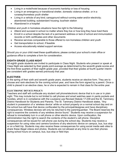- Living in a motel/hotel because of economic hardship or loss of housing
- Living in an emergency or transitional shelter, domestic violence shelter, or in a runaway/homeless youth shelter
- Living in a vehicle of any kind; campground without running water and/or electricity; abandoned building; substandard housing; bus/train station
- Abandoned in a hospital

Children and youth in homeless situations have the right to the following:

- Attend and succeed in school no matter where they live or how long they have lived there
- Enroll in a school despite the lack of a permanent address or lack of school and immunization records or birth certificates and other documents
- Receive services comparable to those offered to non-homeless children and youth
- Get transportation to school, if feasible
- Access educationally related support services

Should you or your child meet these qualifications; please contact your school's main office or guidance office to complete a form for consideration.

## **EIGHTH GRADE CLASS NIGHT**

All eighth grade students are invited to participate in Class Night. Students who present or speak at Class Night are selected by their grade point average as determined by the seventh grade scores and the first three quarters of their eighth grade year, provided that their grades at fourth quarter interim are consistent with grades earned previously that year.

### **ELECTIVES**

In the spring of their sixth and seventh grade years, students receive an elective form. They are to choose and rank electives for the coming school year, and have the form signed by a parent. Once a child is placed in an elective class, he or she is expected to remain in that class for the entire year.

### **ELECTRONIC DEVICE POLICY**

Teachers and staff will confiscate any student cell phone/electronic device that is in use or in plain sight. This may include but is not limited to cell phones and smart watches seen in pants pockets and hoodies, which is in compliance with the Louisiana Law Revised Statute 17:239 and the St. Tammany District Handbook for Students and Parents. The St. Tammany District Handbook states, "Any student in possession of a 'wireless device' while on school property on a normal school day and on the school bus will have that device confiscated by the principal/designee and have disciplinary consequences. Wireless devices will only be returned to the parent/guardian. The Board reserves the right to examine the contents of any wireless device found." Students may receive a suspension for refusal to immediately turn in a cell phone or other electric device. Upon confiscation, the administration has the right to search the contents of the student's cell phone. Discipline consequences will be issued for cell phone use during the school day. Students may receive a suspension for using video and camera functions of any electronic device on campus, bus, bus stop or on a field trip. Students may also receive these consequences for using social media web sites to share these illegal videos and photos. Students are not allowed at any time to use their phones during school hours on campus, bus, bus stop or field trips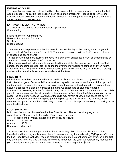#### **EMERGENCY CARD**

The parent/guardian of each student will be asked to complete an emergency card during the first week of school. The card is then kept on file in case of an emergency. Please be sure the card includes at least two local telephone numbers. In case of an emergency involving your child, this is our only means of reaching you.

#### **EXTRACURRICULAR ACTIVITIES**

The following are offered as extracurricular opportunities: **Cheerleading** 4H Future Farmers of America (FFA) National Junior Honor Society Sports teams Student Council

\_ Students must be present at school at least 4 hours on the day of the dance, event, or game in order to attend. Students must follow all St. Tammany dress code policies. Uniforms are not required at dances and sports events.

Students who attend extracurricular events held outside of school hours must be accompanied by an adult (21 years of age or older) chaperone.

\_ Students who attend extracurricular events held immediately after school (for example, softball games, cheerleading practice, etc.) or during the evening may not leave campus and then return. Students whose siblings are involved in after school practices or events may not wait for the sibling, as the staff is unavailable to supervise students at that time.

#### **FIELD TRIPS**

All field trips taken by staff and students at Lee Road School are planned to supplement the instructional program. Because field trips must be prepaid to the vendor in advance of the trip, it will not be possible to refund the cost of a trip to an absent student, unless the student has a doctor's excuse. Because field trips are curricular in nature, we encourage all students to attend. Occasionally, however, a student's behavior may cause his/her teacher to recommend that the child's parent or guardian attend the trip in order to insure everyone's continued safety and comfort. In such cases, the parent may choose to attend, or the child may remain at school and spend the day in another teacher's class, completing assignments given by his own teacher. The administration reserves the right to decide that a child may not attend a particular trip. We are sorry, but siblings may not attend field trips.

#### **FOOD SERVICES**

Both breakfast and lunch are offered at Lee Road School. The food service program is computerized. Money is collected daily. Please pay in advance.

Please send all money in a labeled envelope, as follows:

Name: John Doe Amount: \$5.00 Homeroom: Mrs. Smith

\_ Checks should be made payable to Lee Road Junior High Food Services. Please combine breakfast and lunch payments in one check. You may also pay for meals using MyPaymentsPlus on the Lee Road School website. Free and reduced lunch forms are sent home with every child the first day of school. They are also available in the office throughout the year. We respectfully request that you carefully monitor your account to avoid having a balance larger than \$5.00.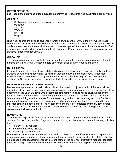#### **GIFTED SERVICES**

Lee Road School provides gifted education programming for students who qualify for these services.

# **GRADING**

St. Tammany School System's grading scale is:

93-100 A 85-92 B 75-84 C 67-74 D 0-66 F

Nine week exams are given to students in junior high, to count for 20% of the nine weeks' grade. Numbers are recorded in electronic teacher grade books and used to average the final grade. Report cards are sent home at the conclusion of each nine-week period, for a total of four times yearly. End of year report cards will be mailed home by St. Tammany Parish School Board. Parents may access students' grades through JPAMS

## **GUIDANCE**

The guidance counselor is available to assist students in need. To make an appointment, students or parents should call, email, or leave a note at the front office or in the counselor's office.

### **HALL PASSES**

In order to insure the safety of every child and maintain the facilities in a neat and orderly condition, students should always have a hall pass when they are outside of the classroom. Junior High students should have a hall pass signed by a teacher, with the time they left the class and their destination. Consequences may be issued to students found in the hallways without a pass.

#### **HEALTH SERVICES AND REGULATIONS**

Despite every precaution, occasionally a child will become ill or injured at school. Parents will be notified for all but minor illnesses/injuries, using the emergency form completed by every parent at the beginning of the year. Students who become too ill to remain in class will be given a pass by the teacher and sent to the office. A parent or guardian must come to the office to sign the child out. Students must bring a written excuse from a parent or guardian upon returning to school.Students who must take prescription or over the counter medicine during school hours are required to keep that medicine in the school office. The necessary forms must be completed by the student's parent and physician. The office cannot otherwise dispense medication of any kind. Energy drinks and coffee are not allowed at school.

### **HOMEWORK**

Teachers are responsible for deciding when, what, and how much homework is assigned within the scope of School System policy. Suggested times for assigned homework or related learning activities are:

- Primary: 15-30 minutes
- Intermediate: 30-60 minutes
- Junior high: 45-75 minutes

Homework may be started in the classroom and completed at home. If homework is accepted late or incomplete, some penalty may be assessed on the assignments by the teacher. If a child is ill or has an excused absence, assignments can be sent home at the parent or guardian's request. Requests for school assignments for absent students will be honored if the school is given 24-hour notice;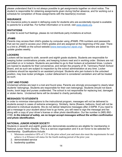please understand that it is not always possible to get assignments together on short notice. The student is responsible for obtaining assignments given during his/her absence, and for working out a schedule for completion of those assignments with the teacher(s) involved.

### **INSURANCE**

An insurance policy to assist in defraying costs for students who are accidentally injured is available to parents for a small fee. For further information or to enroll, visit [www.stpsb.org.](http://www.stpsb.org/)

# **INVITATIONS**

In order to avoid hurt feelings, please do not distribute party invitations at school.

# **JPAMS**

Parents may access their child's grades by computer using JPAMS. PIN numbers and passwords that can be used to access your child's grades and are assigned at the beginning of the year. There is a link to JPAMS on the school website [\(www.leeroadjunior.stpsb.org\)](http://www.leeroadjunior.stpsb.org/). Teachers are asked to update grades weekly.

## **LOCKERS**

Lockers will be issued to sixth, seventh and eighth grade students. Students are responsible for keeping locker combinations private, and keeping lockers neat and in working order. Stickers are not permitted on or in lockers. Students are permitted to go to their lockers at scheduled times. Lockers are loaned to students for their convenience, and remain the property of St. Tammany Parish School Board, and as such are subject to inspection by the school administration at any time. Locker problems should be reported to an assistant principal. Students who jam lockers to the unlocked position, may lose locker privileges. Locker defacement is considered vandalism and will be treated as such.

### **LOST AND FOUND**

Unclaimed articles are kept in a lost and found area. Parents are strongly encouraged to clearly label students' belongings. Students are responsible for their own belongings. Students should not leave books, book bags and purses unattended. The school is not responsible for replacing lost, damaged or stolen items. Unclaimed items will be donated to charity periodically.

# **MESSAGES TO STUDENTS**

In order to minimize interruptions to the instructional program, messages will not be delivered to students except in cases of extreme emergency. Similarly, items (flowers, balloons, food) will not be delivered to individual students. We do not deliver telephone messages after 2:00PM. If you need to get a message to your student about how to go home, you will need to sign the message and fax along with a copy of your driver's license or other photo identification. Our fax number is (985) 892- 3169. *In the interest of safety, we no longer accept messages without the written confirmation and photo identification.*

# **NATIONAL JUNIOR HONOR SOCIETY**

Students in seventh and eighth grade who demonstrate excellence are eligible for membership in National Junior Honor Society. This is a service organization and it is an honor to be selected for membership. Qualifications include:

- 1. Minimum cumulative GPA of 3.35 in the prior school year and must also meet the requirements for and achieve A or B honor roll status for the fourth marking period of the prior year.
- 2. demonstrated service
- 3. leadership qualities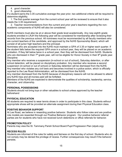- 4. good character
- 5. good citizenship

If a student earns the 3.35 cumulative average the year prior, two additional criteria will be required to determine eligibility.

1. The first quarter average from the current school year will be reviewed to ensure that it also meets the 3.35 requirement.

2. Teacher recommendations from the current and prior year's teachers regarding the nonacademic components of NJHS will also be considered.

NJHS members must also be at or above their grade level academically. Any new eighth grade students enrolled in LRJH the following year will be considered for membership after reviewing their records from the previous school. All nominees must be recommended by all faculty members who are current teachers of the candidate, and approved by the NJHS Sponsorship Board, which will consist of all junior high teachers and the principal.

Nominees who are accepted into the NJHS must maintain a GPA of 3.35 or higher each quarter. If the student falls below the required GPA once in a school year, they will be placed on an academic probation. If they fall below twice in a school year, then they will be dismissed from NJHS. Students who are dismissed in their  $7<sup>th</sup>$  grade year, will not be eligible for Honor Society in their  $8<sup>th</sup>$  grade year. Discipline:

Any member who receives a suspension (in-school or out of school), Saturday detention, or after school detention, will be placed on disciplinary probation. Any member who receives a second suspension (in-school or out of school) or Saturday detention will be dismissed from the NJHS. Any member who violates any civil laws and becomes involved in a police action, which is officially reported to the Lee Road Administration, will be dismissed from the NJHS.

Any member dismissed from the NJHS because of disciplinary reasons will not be allowed to attend any NJHS trips and all monies paid will be forfeited.

Members of the NJHS are expected to demonstrate the qualities of scholarship, leadership, service, character, and citizenship.

# **PERSONAL POSSESSIONS**

Students should not bring toys or other valuables to school unless approved by the teacher beforehand

# **PHYSICAL EDUCATION**

All students are required to wear tennis shoes in order to participate in this class. Students without appropriate shoes will be provided an alternate assignment during their Physical Education class.

### **POSITIVE BEHAVIOR SUPPORT**

At Lee Road, we believe in rewarding positive behavior. Students who follow rules and are positive role models are rewarded through our Positive Behavior program. Our positive behavior referral parties are for students who have not received lunch detentions or office referrals for behavior.

### **PROMOTION POLICY**

Parents may view the St. Tammany Parish School Board Pupil Progression Plan (stpsb.org).

# **RECESS RULES**

Students are informed of the rules for safety and fairness on the first day of school. Students who do not comply may be denied the privilege of recess. Further consequences may result if the behavior persists.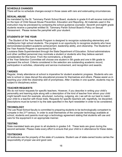#### **SCHEDULE CHANGES**

There will be no schedule changes except in those cases with rare and extenuating circumstances.

#### **SEXUAL ABUSE**

As mandated by the St. Tammany Parish School Board, students in grade K-8 will receive instruction on the topic of Child Sexual Abuse Prevention, Education and Reporting. All materials used in the instruction may be previewed by contacting the school guidance counselor. Seventh and eighth grade students receive a pamphlet entitled St. Tammany Parish School Board's Policy on Sexual Harassment. Please review the pamphlet with your student.

### **STUDENTS OF THE YEAR**

The Student of the Year Awards Program is designed to recognize outstanding elementary and middle/junior high school students. The program is an opportunity to recognize students who have demonstrated excellent academic achievement, leadership ability, and citizenship. The Students of the Year Awards Program is sponsored by the

Louisiana State Superintendent through the State Department of Education. School administrators and other certified personnel may nominate a student or students who they believe warrant consideration for this honor. From the nominations, a Student

of the Year Selection Committee will choose one student in 5th grade and one in 8th grade to represent the school. Criteria considered in the selection are outstanding academic record, participation in activities, citizenship and service involvement, and recognition and awards.

### **TARDIES**

Regular, timely attendance at school is imperative for student academic progress. Students who are late to school or class disrupt the educational process for themselves and others. Please assist us in teaching your child the citizenship skill of promptness. After 3 tardies in one quarter, students may be subject to disciplinary action.

#### **TEACHER REQUESTS**

We do not honor requests for specific teachers. However, if you describe in writing your child's personality and learning style along with a description of the kind of teacher from whom your child might benefit most (for example, structured, nurturing, outgoing, etc.) we will do our best to match your child to a teacher with those traits. Requests for specific teachers will, regretfully, be discarded. Descriptions must be turned in by the date specified in the April newsletter in order to be considered.

### **TECHNOLOGY**

The Lee Road School faculty is committed to preparing students to be technologically competent to compete in the 21<sup>st</sup> century. In order to avail themselves of the computer technology available at school, students and parents must sign a technology agreement stating that students will use and care for the equipment in an appropriate manner.

### **TESTING**

State mandated tests are given to all students in grades 3-8. These tests are given during the second semester. Please make every effort to ensure that your child is in attendance for these dates.

#### **TEXTBOOKS**

All textbooks are the property of the state of Louisiana. Student use of state-owned books carries the responsibility of proper use and good care.